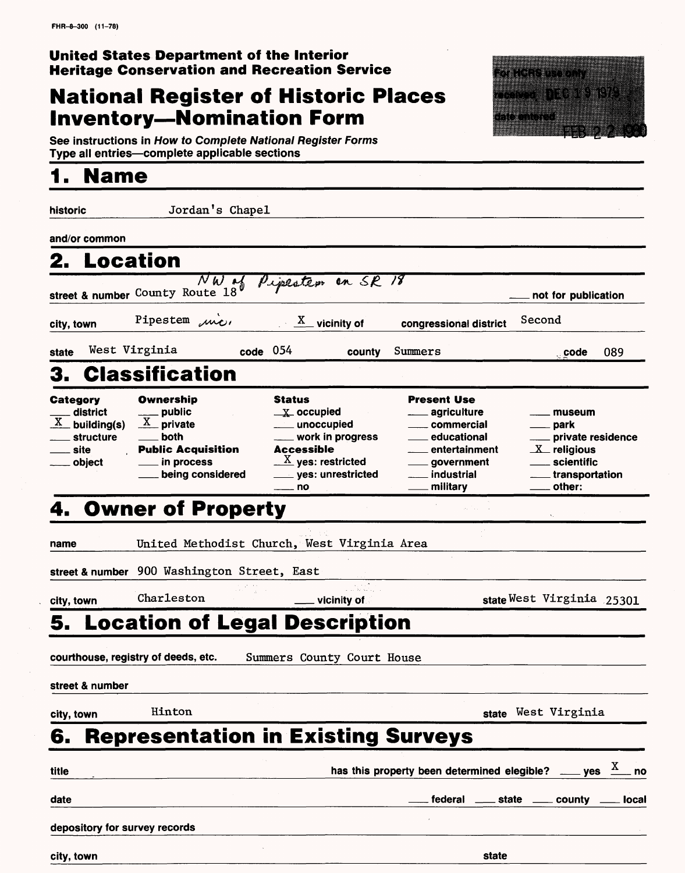### **United States Department of the Interior Heritage Conservation and Recreation Service**

# **National Register of Historic Places Inventory-Nomination Form**



**See instructions in How to Complete National Register Forms Type all entries—complete applicable sections** 

## **1. Name**

| historic                                                                      | Jordan's Chapel                                                                                                         |                                                                                                                                                                         |                                                                                                                                                               |                                                                                                     |
|-------------------------------------------------------------------------------|-------------------------------------------------------------------------------------------------------------------------|-------------------------------------------------------------------------------------------------------------------------------------------------------------------------|---------------------------------------------------------------------------------------------------------------------------------------------------------------|-----------------------------------------------------------------------------------------------------|
| and/or common                                                                 |                                                                                                                         |                                                                                                                                                                         |                                                                                                                                                               |                                                                                                     |
| 2. Location                                                                   |                                                                                                                         |                                                                                                                                                                         |                                                                                                                                                               |                                                                                                     |
|                                                                               |                                                                                                                         | Street & number County Route 18 Pipesters en SR 18                                                                                                                      |                                                                                                                                                               | not for publication                                                                                 |
| city, town                                                                    | Pipestem mi                                                                                                             | $\underline{X}$ vicinity of                                                                                                                                             | congressional district                                                                                                                                        | Second                                                                                              |
| state                                                                         | West Virginia                                                                                                           | $code$ 054<br>county                                                                                                                                                    | Summers                                                                                                                                                       | 089<br>∴code                                                                                        |
| 3.                                                                            | <b>Classification</b>                                                                                                   |                                                                                                                                                                         |                                                                                                                                                               |                                                                                                     |
| <b>Category</b><br>district<br>$X$ building(s)<br>structure<br>site<br>object | Ownership<br>_ public<br>$\underline{X}$ private<br>both<br><b>Public Acquisition</b><br>in process<br>being considered | <b>Status</b><br>$\mathbf{X}$ occupied<br>____ unoccupied<br>work in progress<br>Accessible<br>$\underline{\textbf{X}}$ yes: restricted<br>__ yes: unrestricted<br>_ no | <b>Present Use</b><br><sub>------</sub> agriculture<br>commercial<br>educational<br>entertainment<br><sub>__</sub> government<br>$\_$ industrial<br>_military | museum<br>park<br>private residence<br>$X$ religious<br>scientific<br>$\_$ transportation<br>other: |
|                                                                               | <b>Owner of Property</b>                                                                                                |                                                                                                                                                                         |                                                                                                                                                               |                                                                                                     |
| name                                                                          |                                                                                                                         | United Methodist Church, West Virginia Area                                                                                                                             |                                                                                                                                                               |                                                                                                     |
|                                                                               | street & number 900 Washington Street, East                                                                             |                                                                                                                                                                         |                                                                                                                                                               |                                                                                                     |
| city, town                                                                    | Charleston                                                                                                              | vicinity of                                                                                                                                                             |                                                                                                                                                               | state West Virginia 25301                                                                           |
| 5.                                                                            |                                                                                                                         | <b>Location of Legal Description</b>                                                                                                                                    |                                                                                                                                                               |                                                                                                     |
|                                                                               | courthouse, registry of deeds, etc.                                                                                     | Summers County Court House                                                                                                                                              |                                                                                                                                                               |                                                                                                     |
| street & number                                                               |                                                                                                                         |                                                                                                                                                                         |                                                                                                                                                               |                                                                                                     |
| city, town                                                                    | Hinton                                                                                                                  |                                                                                                                                                                         |                                                                                                                                                               | state West Virginia                                                                                 |
| 6.                                                                            |                                                                                                                         | <b>Representation in Existing Surveys</b>                                                                                                                               |                                                                                                                                                               |                                                                                                     |
| title                                                                         |                                                                                                                         |                                                                                                                                                                         | has this property been determined elegible?                                                                                                                   | $\equiv$ yes<br>. no                                                                                |
| date                                                                          |                                                                                                                         |                                                                                                                                                                         |                                                                                                                                                               | federal _____ state _____ county _<br><b>local</b>                                                  |
| depository for survey records                                                 |                                                                                                                         |                                                                                                                                                                         |                                                                                                                                                               |                                                                                                     |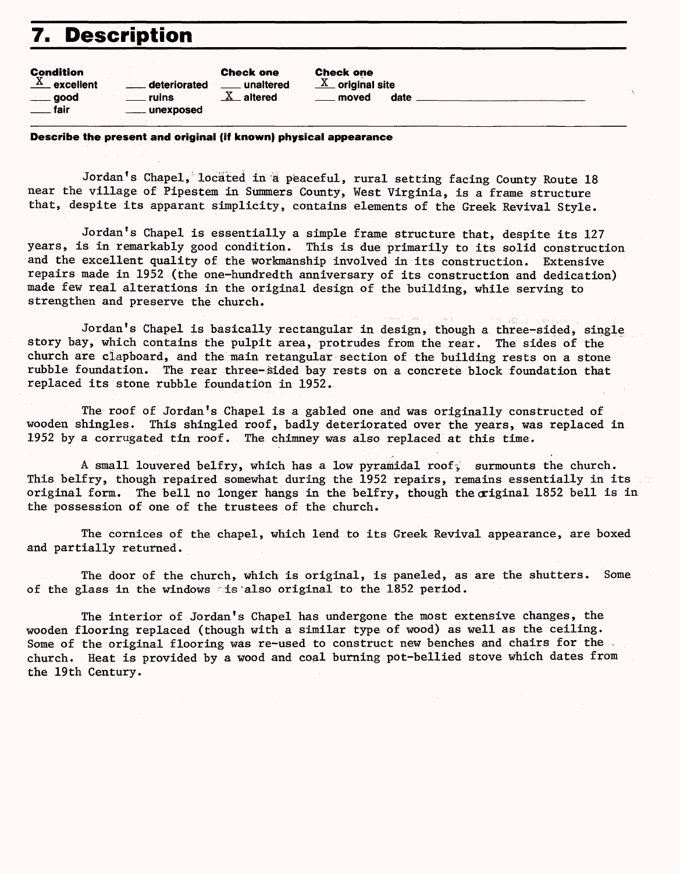# **7. Description**

| <b>Condition</b><br>$X$ excellent<br>deteriorated<br>. ruins<br>$\rule{1em}{0.15mm}$ good<br>fair<br><b>ellipseling</b> unexposed | <b>Check one</b><br>unaltered<br>$X$ altered | <b>Check one</b><br>$\underline{X}$ original site<br>date<br>moved |
|-----------------------------------------------------------------------------------------------------------------------------------|----------------------------------------------|--------------------------------------------------------------------|
|                                                                                                                                   |                                              |                                                                    |

#### **Describe the present and original (if known) physical appearance**

Jordan's Chapel, located in a peaceful, rural setting facing County Route 18 near the village of Pipestem in Summers County, West Virginia, is a frame structure that, despite its apparant simplicity, contains elements of the Greek Revival Style.

Jordan's Chapel is essentially a simple frame structure that, despite its 127 years, is in remarkably good condition. This is due primarily to its solid construction and the excellent quality of the workmanship involved in its construction. Extensive repairs made in 1952 (the one-hundredth anniversary of its construction and dedication) made few real alterations in the original design of the building, while serving to strengthen and preserve the church.

Jordan's Chapel is basically rectangular in design, though a three-sided, single story bay, which contains the pulpit area, protrudes from the rear. The sides of the church are clapboard, and the main retangular section of the building rests on a stone rubble foundation. The rear three-sided bay rests on a concrete block foundation that replaced its stone rubble foundation in 1952.

The roof of Jordan's Chapel is a gabled one and was originally constructed of wooden shingles. This shingled roof, badly deteriorated over the years, was replaced in 1952 by a corrugated tin roof. The chimney was also replaced at this time.

A small louvered belfry, which has a low pyramidal roof; surmounts the church. This belfry, though repaired somewhat during the 1952 repairs, remains essentially in its original form. The bell no longer hangs in the belfry, though the original 1852 bell is in the possession of one of the trustees of the church.

The cornices of the chapel, which lend to its Greek Revival appearance, are boxed and partially returned.

The door of the church, which is original, is paneled, as are the shutters. Some of the glass in the windows  $\le$  is also original to the 1852 period.

The interior of Jordan's Chapel has undergone the most extensive changes, the wooden flooring replaced (though with a similar type of wood) as well as the ceiling. Some of the original flooring was re-used to construct new benches and chairs for the church. Heat is provided by a wood and coal burning pot-bellied stove which dates from the 19th Century.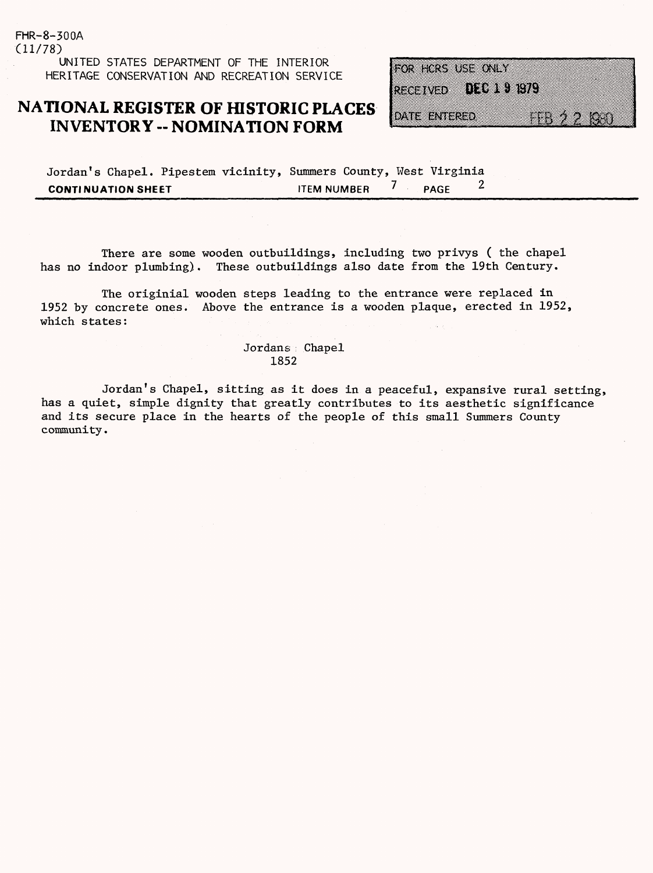(11/78) UNITED STATES DEPARTMENT OF THE INTERIOR HERITAGE CONSERVATION AND RECREATION SERVICE

FHR-8-300A

### **NATIONAL REGISTER OF HISTORIC PLACES INVENTORY - NOMINATION FORM**

FOR HCRS USE ONLY **RECEIVED MODES CR** DATE ENTERED 

|                           | Jordan's Chapel. Pipestem vicinity, Summers County, West Virginia |                    |        |  |
|---------------------------|-------------------------------------------------------------------|--------------------|--------|--|
| <b>CONTINUATION SHEET</b> |                                                                   | <b>ITEM NUMBER</b> | / PAGF |  |

There are some wooden outbuildings, including two privys ( the chapel has no indoor plumbing). These outbuildings also date from the 19th Century.

The originial wooden steps leading to the entrance were replaced in 1952 by concrete ones. Above the entrance is a wooden plaque, erected in 1952, which states:

> Jordans Chapel 1852

Jordan's Chapel, sitting as it does in a peaceful, expansive rural setting, has a quiet, simple dignity that greatly contributes to its aesthetic significance and its secure place in the hearts of the people of this small Summers County community.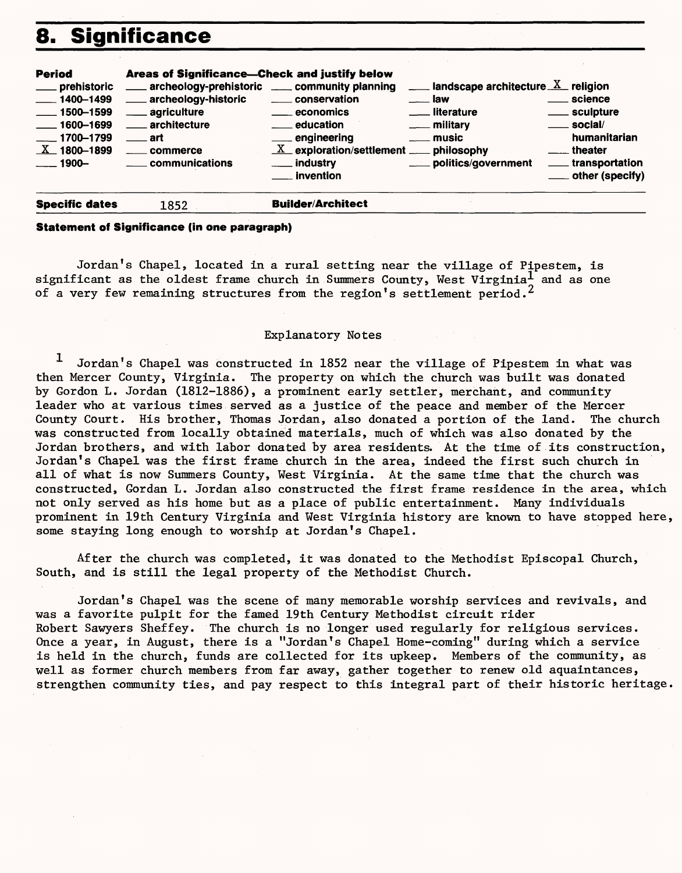# **8. Significance**

| Period        | <b>Areas of Significance-Check and justify below</b> |                                                                   |                                                             |                      |
|---------------|------------------------------------------------------|-------------------------------------------------------------------|-------------------------------------------------------------|----------------------|
| prehistoric   | ____ archeology-prehistoric ____ community planning  |                                                                   | $\frac{1}{2}$ landscape architecture $\frac{X}{X}$ religion |                      |
| 1400-1499     | ____ archeology-historic                             | _____ conservation                                                | $\equiv$ law                                                | ____ science         |
| 1500-1599     | . agriculture                                        | <u>__</u> economics                                               | <u>_</u> ___ literature                                     | _____ sculpture      |
| ___ 1600-1699 | architecture                                         | <u>_</u> ____ education                                           | ___ military                                                | <u>__</u> __ social/ |
| ___ 1700-1799 | — art                                                | ____ engineering                                                  | $\equiv$ music                                              | humanitarian         |
| $X$ 1800-1899 | commerce                                             | $\underline{X}$ exploration/settlement $\underline{X}$ philosophy |                                                             | theater              |
| $\sim$ 1900–  | ____ communications                                  | ___ industry                                                      | ____ politics/government                                    | ____ transportation  |
|               |                                                      | __ invention                                                      |                                                             | ____ other (specify) |

#### **Specific dates** 1852 **Builder/Architect**

#### **Statement of Significance (in one paragraph)**

Jordan's Chapel, located in a rural setting near the village of Pipestem, is significant as the oldest frame church in Summers County, West Virginia<sup>1</sup> and as one of a very few remaining structures from the region's settlement period.<sup>2</sup>

#### Explanatory Notes

1 Jordan's Chapel was constructed in 1852 near the village of Pipestem in what was then Mercer County, Virginia. The property on which the church was built was donated by Gordon L. Jordan (1812-1886), a prominent early settler, merchant, and community leader who at various times served as a justice of the peace and member of the Mercer County Court. His brother, Thomas Jordan, also donated a portion of the land. The church was constructed from locally obtained materials, much of which was also donated by the Jordan brothers, and with labor donated by area residents. At the time of its construction, Jordan's Chapel was the first frame church in the area, indeed the first such church in all of what is now Summers County, West Virginia. At the same time that the church was constructed, Gordan L. Jordan also constructed the first frame residence in the area, which not only served as his home but as a place of public entertainment. Many individuals prominent in 19th Century Virginia and West Virginia history are known to have stopped here, some staying long enough to worship at Jordan's Chapel.

After the church was completed, it was donated to the Methodist Episcopal Church, South, and is still the legal property of the Methodist Church.

Jordan's Chapel was the scene of many memorable worship services and revivals, and was a favorite pulpit for the famed 19th Century Methodist circuit rider Robert Sawyers Sheffey. The church is no longer used regularly for religious services. Once a year, in August, there is a "Jordan's Chapel Home-coming" during which a service is held in the church, funds are collected for its upkeep. Members of the community, as well as former church members from far away, gather together to renew old aquaintances, strengthen community ties, and pay respect to this integral part of their historic heritage.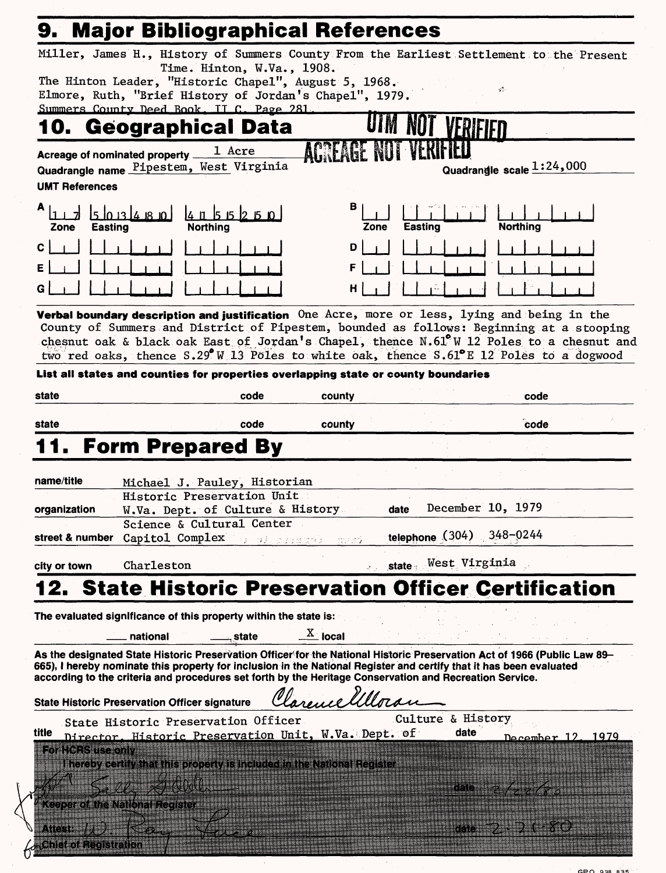|                                            | 9. Major Bibliographical References                                                                                 |                            |                                   |                     |                                                                                                                                                                                         |
|--------------------------------------------|---------------------------------------------------------------------------------------------------------------------|----------------------------|-----------------------------------|---------------------|-----------------------------------------------------------------------------------------------------------------------------------------------------------------------------------------|
|                                            |                                                                                                                     |                            |                                   |                     | Miller, James H., History of Summers County From the Earliest Settlement to the Present                                                                                                 |
|                                            | The Hinton Leader, "Historic Chapel", August 5, 1968.                                                               | Time. Hinton, W.Va., 1908. |                                   |                     |                                                                                                                                                                                         |
|                                            | Elmore, Ruth, "Brief History of Jordan's Chapel", 1979.                                                             |                            |                                   |                     | ψř.                                                                                                                                                                                     |
|                                            | Summers County Deed Book, IT C. Page 281.                                                                           |                            |                                   |                     |                                                                                                                                                                                         |
| 10.                                        | Geographical Data                                                                                                   |                            |                                   |                     |                                                                                                                                                                                         |
| Acreage of nominated property _            | 1 Acre                                                                                                              |                            |                                   |                     |                                                                                                                                                                                         |
|                                            | Quadrangle name Pipestem, West Virginia                                                                             |                            |                                   |                     | Quadrangle scale 1:24,000                                                                                                                                                               |
| <b>UMT References</b>                      |                                                                                                                     |                            |                                   |                     |                                                                                                                                                                                         |
| А<br>Zone<br><b>Easting</b>                | 5013480<br>$4 \; n \; k \; n \; k \; p \; p \; p$<br>Northing                                                       |                            | в<br>Zone                         | Easting             | <b>Northing</b>                                                                                                                                                                         |
| С                                          |                                                                                                                     |                            | D                                 |                     |                                                                                                                                                                                         |
| Ε                                          |                                                                                                                     |                            |                                   |                     |                                                                                                                                                                                         |
| G                                          |                                                                                                                     |                            | н                                 |                     |                                                                                                                                                                                         |
|                                            |                                                                                                                     |                            |                                   |                     |                                                                                                                                                                                         |
|                                            |                                                                                                                     |                            |                                   |                     | Verbal boundary description and justification One Acre, more or less, lying and being in the<br>County of Summers and District of Pipestem, bounded as follows: Beginning at a stooping |
|                                            |                                                                                                                     |                            |                                   |                     | chesnut oak & black oak East of Jordan's Chapel, thence $N.61^{\circ}$ W 12 Poles to a chesnut and                                                                                      |
|                                            |                                                                                                                     |                            |                                   |                     | two red oaks, thence $S.29^{\circ}$ W 13 Poles to white oak, thence $S.61^{\circ}$ E 12 Poles to a dogwood                                                                              |
|                                            | List all states and counties for properties overlapping state or county boundaries                                  |                            |                                   |                     |                                                                                                                                                                                         |
| state                                      |                                                                                                                     | code                       | county                            |                     | code                                                                                                                                                                                    |
| state                                      |                                                                                                                     | code                       | county                            |                     | code                                                                                                                                                                                    |
|                                            |                                                                                                                     |                            |                                   |                     |                                                                                                                                                                                         |
|                                            | 11. Form Prepared By                                                                                                |                            |                                   |                     |                                                                                                                                                                                         |
| name/title                                 | Michael J. Pauley, Historian                                                                                        |                            |                                   |                     |                                                                                                                                                                                         |
|                                            | Historic Preservation Unit                                                                                          |                            |                                   |                     |                                                                                                                                                                                         |
| organization                               | W.Va. Dept. of Culture & History                                                                                    |                            | date                              | December 10, 1979   |                                                                                                                                                                                         |
|                                            | Science & Cultural Center<br>street & number Capitol Complex                                                        |                            |                                   | telephone (304)     | 348-0244                                                                                                                                                                                |
|                                            |                                                                                                                     | ini dibuatan d             | mreú                              |                     |                                                                                                                                                                                         |
| city or town                               | Charleston                                                                                                          |                            |                                   | state West Virginia |                                                                                                                                                                                         |
|                                            |                                                                                                                     |                            |                                   |                     | <b>2. State Historic Preservation Officer Certification</b>                                                                                                                             |
|                                            |                                                                                                                     |                            |                                   |                     |                                                                                                                                                                                         |
|                                            | The evaluated significance of this property within the state is:                                                    |                            |                                   |                     |                                                                                                                                                                                         |
|                                            | national                                                                                                            | state                      | $\frac{\text{X}}{\text{A}}$ local |                     |                                                                                                                                                                                         |
|                                            | 665), I hereby nominate this property for inclusion in the National Register and certify that it has been evaluated |                            |                                   |                     | As the designated State Historic Preservation Officer for the National Historic Preservation Act of 1966 (Public Law 89-                                                                |
|                                            | according to the criteria and procedures set forth by the Heritage Conservation and Recreation Service.             |                            |                                   |                     |                                                                                                                                                                                         |
|                                            |                                                                                                                     |                            |                                   |                     |                                                                                                                                                                                         |
|                                            |                                                                                                                     |                            |                                   |                     |                                                                                                                                                                                         |
|                                            | <b>State Historic Preservation Officer signature</b>                                                                |                            | Clarence Ullora                   | Culture & History   |                                                                                                                                                                                         |
|                                            | State Historic Preservation Officer                                                                                 |                            |                                   | date                | 1979<br>December 12                                                                                                                                                                     |
| For HCRS use only                          | Director, Historic Preservation Unit, W.Va. Dept. of                                                                |                            |                                   |                     |                                                                                                                                                                                         |
| title                                      | hereby certify that this property is included in the National Register                                              |                            |                                   |                     |                                                                                                                                                                                         |
|                                            |                                                                                                                     |                            |                                   |                     |                                                                                                                                                                                         |
| <b>Keeper of the National Register</b>     |                                                                                                                     |                            |                                   |                     |                                                                                                                                                                                         |
|                                            |                                                                                                                     |                            |                                   |                     |                                                                                                                                                                                         |
| Attest: WA<br><b>Chief of Registration</b> |                                                                                                                     |                            |                                   |                     |                                                                                                                                                                                         |

 $\chi$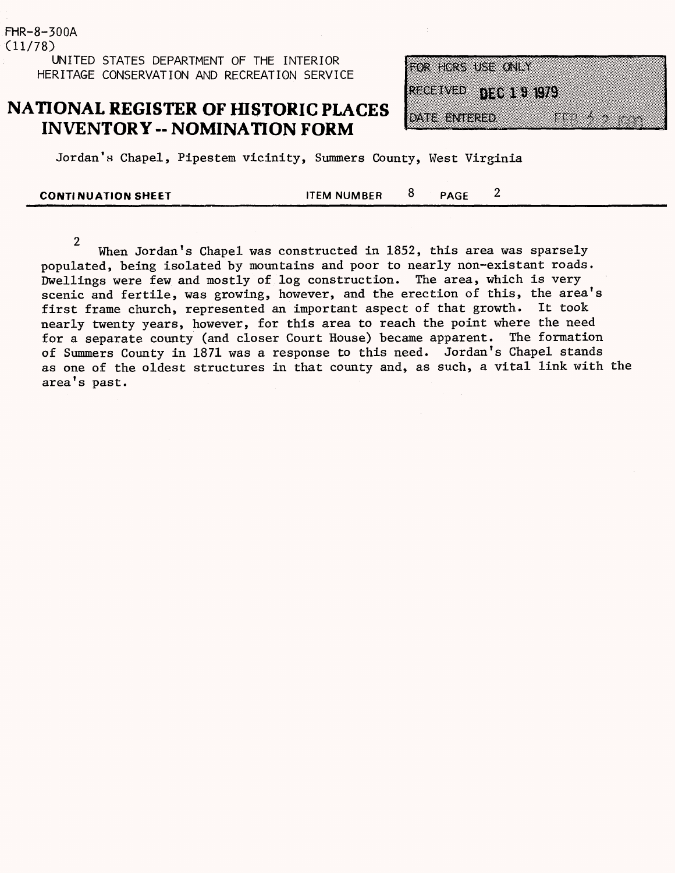#### FHR-8-300A  $(11/78)$ UNITED STATES DEPARTMENT OF THE INTERIOR HERITAGE CONSERVATION AND RECREATION SERVICE

### **NATIONAL REGISTER OF HISTORIC PLACES INVENTORY - NOMINATION FORM**

| OR HORS USE ONLY          |  |  |
|---------------------------|--|--|
| <b>ACCIVIED DECITIONS</b> |  |  |
| XII ang an                |  |  |
|                           |  |  |

 $\overline{2}$ 

Jordan's Chapel, Pipestem vicinity, Summers County, West Virginia

**CONTINUATION SHEET ITEM NUMBER** 8 **PAGE** 

 $\overline{2}$ When Jordan's Chapel was constructed in 1852, this area was sparsely populated, being isolated by mountains and poor to nearly non-existant roads. Dwellings were few and mostly of log construction. The area, which is very scenic and fertile, was growing, however, and the erection of this, the area's first frame church, represented an important aspect of that growth. It took nearly twenty years, however, for this area to reach the point where the need for a separate county (and closer Court House) became apparent. The formation of Summers County in 1871 was a response to this need. Jordan's Chapel stands as one of the oldest structures in that county and, as such, a vital link with the area's past.